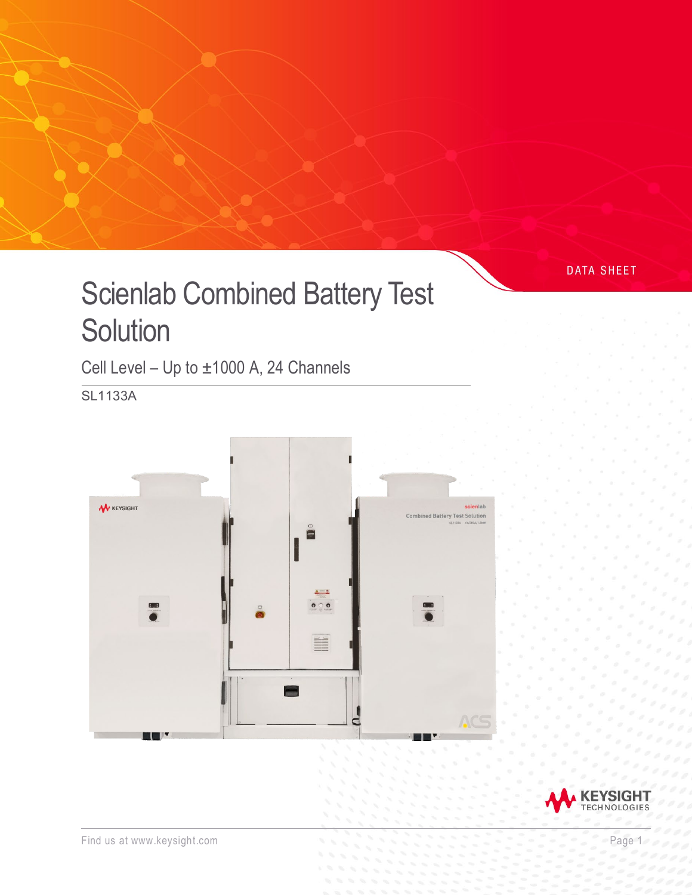# Scienlab Combined Battery Test **Solution**

Cell Level – Up to ±1000 A, 24 Channels

SL1133A





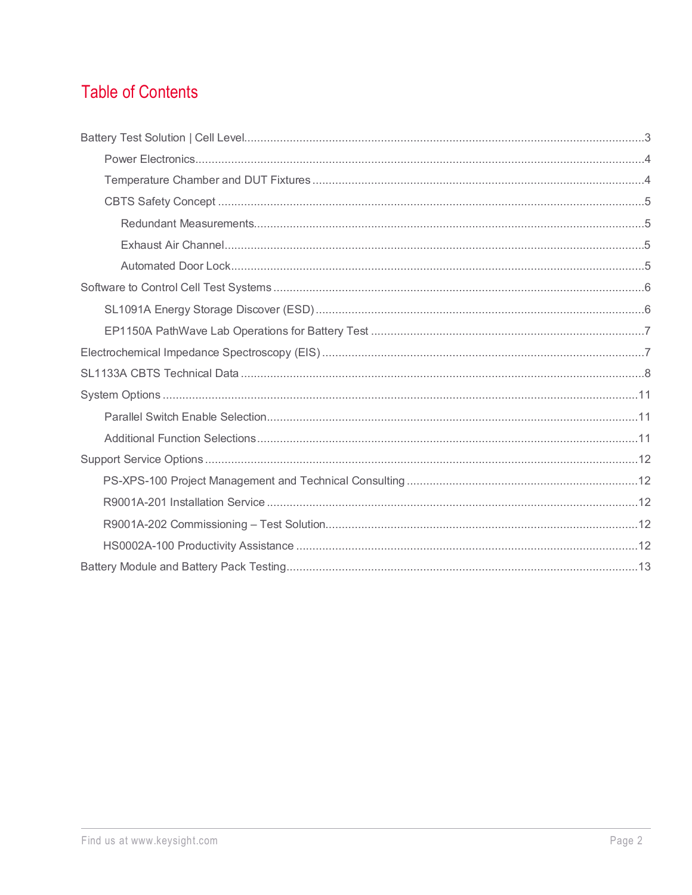# **Table of Contents**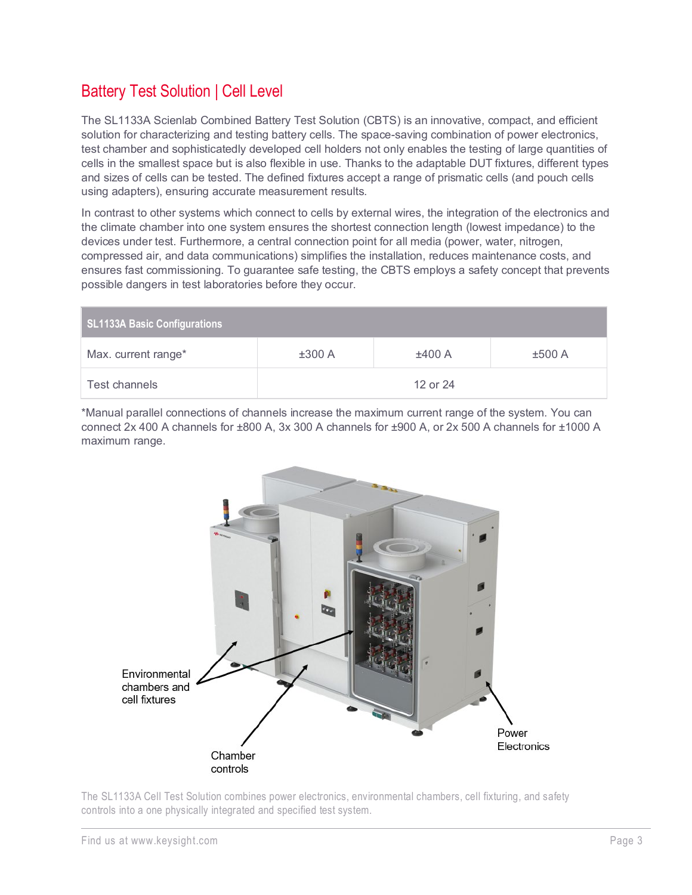# <span id="page-2-0"></span>Battery Test Solution | Cell Level

The SL1133A Scienlab Combined Battery Test Solution (CBTS) is an innovative, compact, and efficient solution for characterizing and testing battery cells. The space-saving combination of power electronics, test chamber and sophisticatedly developed cell holders not only enables the testing of large quantities of cells in the smallest space but is also flexible in use. Thanks to the adaptable DUT fixtures, different types and sizes of cells can be tested. The defined fixtures accept a range of prismatic cells (and pouch cells using adapters), ensuring accurate measurement results.

In contrast to other systems which connect to cells by external wires, the integration of the electronics and the climate chamber into one system ensures the shortest connection length (lowest impedance) to the devices under test. Furthermore, a central connection point for all media (power, water, nitrogen, compressed air, and data communications) simplifies the installation, reduces maintenance costs, and ensures fast commissioning. To guarantee safe testing, the CBTS employs a safety concept that prevents possible dangers in test laboratories before they occur.

| SL1133A Basic Configurations |        |          |        |
|------------------------------|--------|----------|--------|
| Max. current range*          | ±300 A | ±400 A   | ±500 A |
| Test channels                |        | 12 or 24 |        |

\*Manual parallel connections of channels increase the maximum current range of the system. You can connect 2x 400 A channels for ±800 A, 3x 300 A channels for ±900 A, or 2x 500 A channels for ±1000 A maximum range.



The SL1133A Cell Test Solution combines power electronics, environmental chambers, cell fixturing, and safety controls into a one physically integrated and specified test system.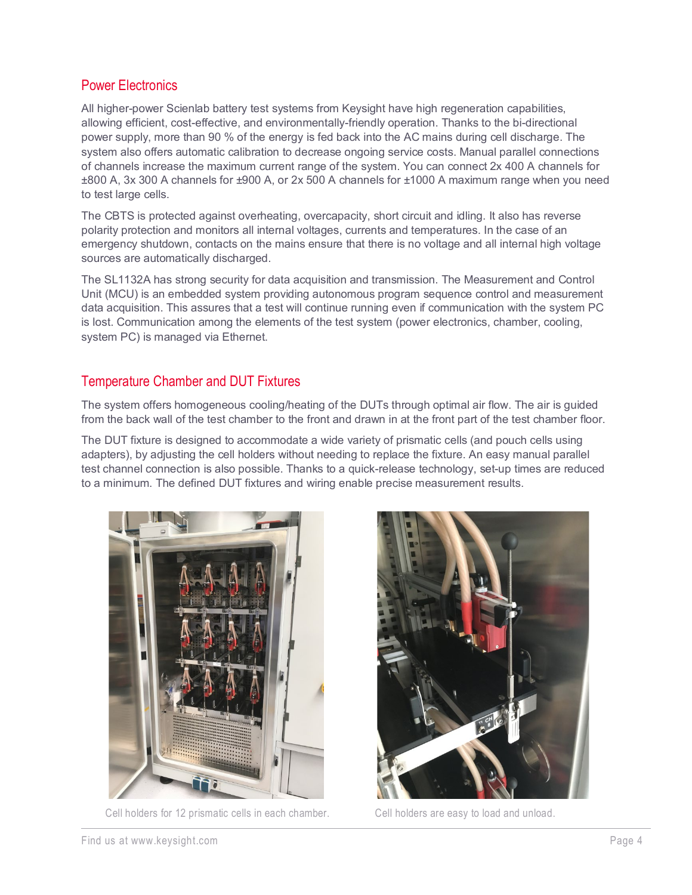### <span id="page-3-0"></span>Power Electronics

All higher-power Scienlab battery test systems from Keysight have high regeneration capabilities, allowing efficient, cost-effective, and environmentally-friendly operation. Thanks to the bi-directional power supply, more than 90 % of the energy is fed back into the AC mains during cell discharge. The system also offers automatic calibration to decrease ongoing service costs. Manual parallel connections of channels increase the maximum current range of the system. You can connect 2x 400 A channels for ±800 A, 3x 300 A channels for ±900 A, or 2x 500 A channels for ±1000 A maximum range when you need to test large cells.

The CBTS is protected against overheating, overcapacity, short circuit and idling. It also has reverse polarity protection and monitors all internal voltages, currents and temperatures. In the case of an emergency shutdown, contacts on the mains ensure that there is no voltage and all internal high voltage sources are automatically discharged.

The SL1132A has strong security for data acquisition and transmission. The Measurement and Control Unit (MCU) is an embedded system providing autonomous program sequence control and measurement data acquisition. This assures that a test will continue running even if communication with the system PC is lost. Communication among the elements of the test system (power electronics, chamber, cooling, system PC) is managed via Ethernet.

#### <span id="page-3-1"></span>Temperature Chamber and DUT Fixtures

The system offers homogeneous cooling/heating of the DUTs through optimal air flow. The air is guided from the back wall of the test chamber to the front and drawn in at the front part of the test chamber floor.

The DUT fixture is designed to accommodate a wide variety of prismatic cells (and pouch cells using adapters), by adjusting the cell holders without needing to replace the fixture. An easy manual parallel test channel connection is also possible. Thanks to a quick-release technology, set-up times are reduced to a minimum. The defined DUT fixtures and wiring enable precise measurement results.



Cell holders for 12 prismatic cells in each chamber. Cell holders are easy to load and unload.

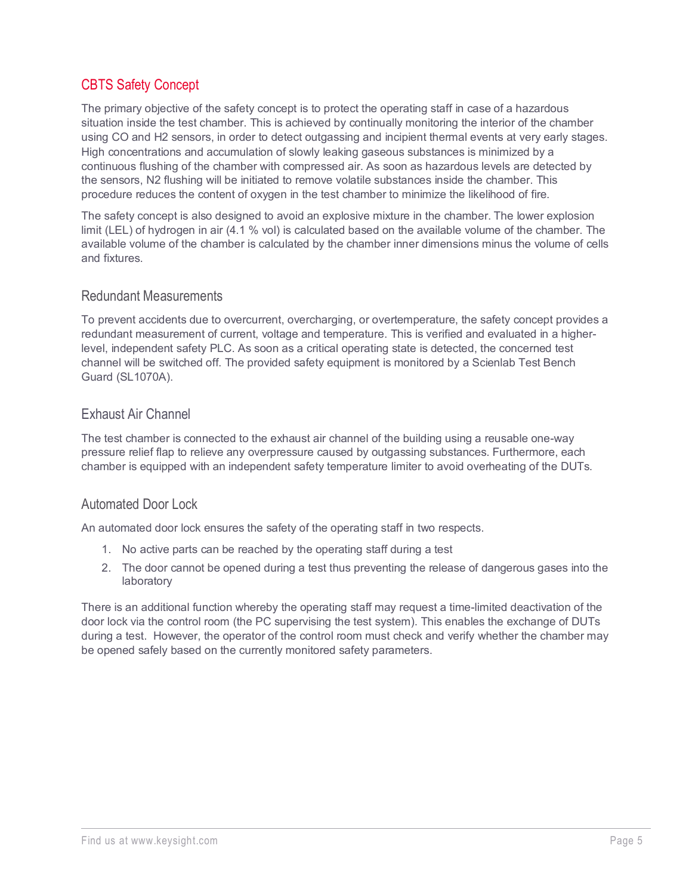### <span id="page-4-0"></span>CBTS Safety Concept

The primary objective of the safety concept is to protect the operating staff in case of a hazardous situation inside the test chamber. This is achieved by continually monitoring the interior of the chamber using CO and H2 sensors, in order to detect outgassing and incipient thermal events at very early stages. High concentrations and accumulation of slowly leaking gaseous substances is minimized by a continuous flushing of the chamber with compressed air. As soon as hazardous levels are detected by the sensors, N2 flushing will be initiated to remove volatile substances inside the chamber. This procedure reduces the content of oxygen in the test chamber to minimize the likelihood of fire.

The safety concept is also designed to avoid an explosive mixture in the chamber. The lower explosion limit (LEL) of hydrogen in air (4.1 % vol) is calculated based on the available volume of the chamber. The available volume of the chamber is calculated by the chamber inner dimensions minus the volume of cells and fixtures.

#### <span id="page-4-1"></span>Redundant Measurements

To prevent accidents due to overcurrent, overcharging, or overtemperature, the safety concept provides a redundant measurement of current, voltage and temperature. This is verified and evaluated in a higherlevel, independent safety PLC. As soon as a critical operating state is detected, the concerned test channel will be switched off. The provided safety equipment is monitored by a Scienlab Test Bench Guard (SL1070A).

#### <span id="page-4-2"></span>Exhaust Air Channel

The test chamber is connected to the exhaust air channel of the building using a reusable one-way pressure relief flap to relieve any overpressure caused by outgassing substances. Furthermore, each chamber is equipped with an independent safety temperature limiter to avoid overheating of the DUTs.

#### <span id="page-4-3"></span>Automated Door Lock

An automated door lock ensures the safety of the operating staff in two respects.

- 1. No active parts can be reached by the operating staff during a test
- 2. The door cannot be opened during a test thus preventing the release of dangerous gases into the laboratory

There is an additional function whereby the operating staff may request a time-limited deactivation of the door lock via the control room (the PC supervising the test system). This enables the exchange of DUTs during a test. However, the operator of the control room must check and verify whether the chamber may be opened safely based on the currently monitored safety parameters.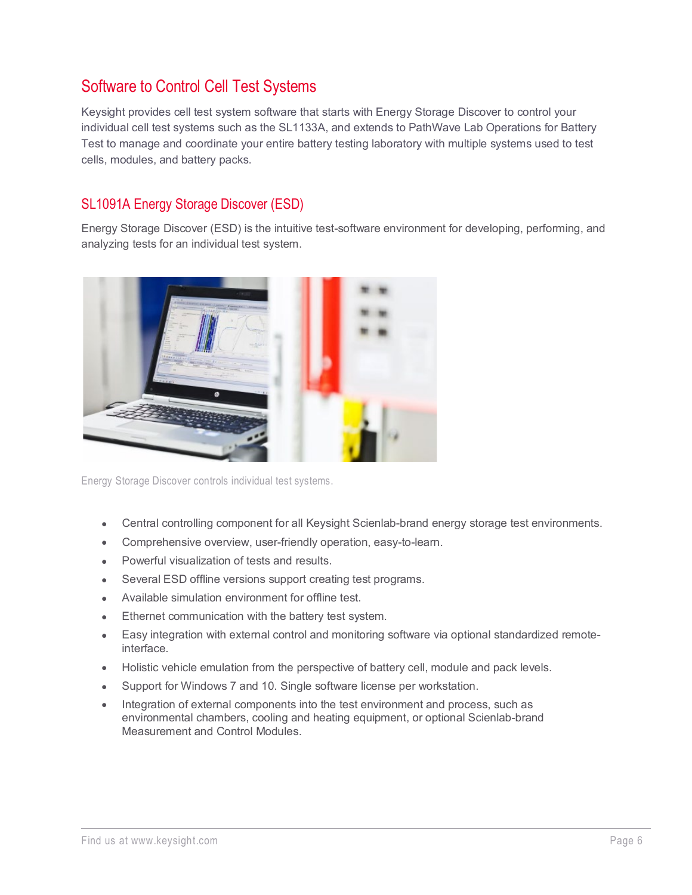# <span id="page-5-0"></span>Software to Control Cell Test Systems

Keysight provides cell test system software that starts with Energy Storage Discover to control your individual cell test systems such as the SL1133A, and extends to PathWave Lab Operations for Battery Test to manage and coordinate your entire battery testing laboratory with multiple systems used to test cells, modules, and battery packs.

### <span id="page-5-1"></span>SL1091A Energy Storage Discover (ESD)

Energy Storage Discover (ESD) is the intuitive test-software environment for developing, performing, and analyzing tests for an individual test system.



Energy Storage Discover controls individual test systems.

- Central controlling component for all Keysight Scienlab-brand energy storage test environments.
- Comprehensive overview, user-friendly operation, easy-to-learn.
- Powerful visualization of tests and results.
- Several ESD offline versions support creating test programs.
- Available simulation environment for offline test.
- Ethernet communication with the battery test system.
- Easy integration with external control and monitoring software via optional standardized remoteinterface.
- Holistic vehicle emulation from the perspective of battery cell, module and pack levels.
- Support for Windows 7 and 10. Single software license per workstation.
- Integration of external components into the test environment and process, such as environmental chambers, cooling and heating equipment, or optional Scienlab-brand Measurement and Control Modules.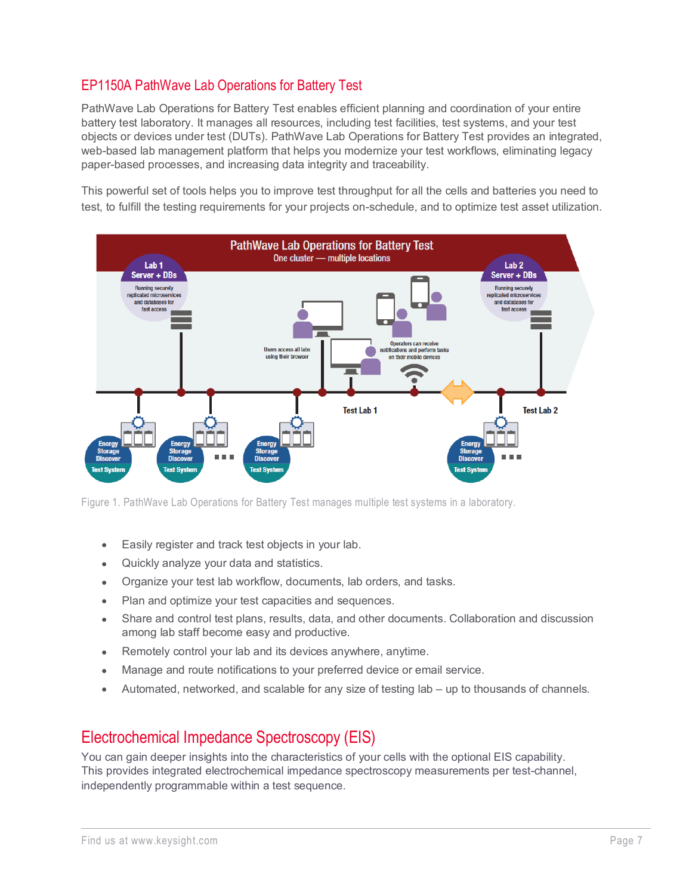### <span id="page-6-0"></span>EP1150A PathWave Lab Operations for Battery Test

PathWave Lab Operations for Battery Test enables efficient planning and coordination of your entire battery test laboratory. It manages all resources, including test facilities, test systems, and your test objects or devices under test (DUTs). PathWave Lab Operations for Battery Test provides an integrated, web-based lab management platform that helps you modernize your test workflows, eliminating legacy paper-based processes, and increasing data integrity and traceability.

This powerful set of tools helps you to improve test throughput for all the cells and batteries you need to test, to fulfill the testing requirements for your projects on-schedule, and to optimize test asset utilization.



Figure 1. PathWave Lab Operations for Battery Test manages multiple test systems in a laboratory.

- Easily register and track test objects in your lab.
- Quickly analyze your data and statistics.
- Organize your test lab workflow, documents, lab orders, and tasks.
- Plan and optimize your test capacities and sequences.
- Share and control test plans, results, data, and other documents. Collaboration and discussion among lab staff become easy and productive.
- Remotely control your lab and its devices anywhere, anytime.
- Manage and route notifications to your preferred device or email service.
- Automated, networked, and scalable for any size of testing lab up to thousands of channels.

### <span id="page-6-1"></span>Electrochemical Impedance Spectroscopy (EIS)

You can gain deeper insights into the characteristics of your cells with the optional EIS capability. This provides integrated electrochemical impedance spectroscopy measurements per test-channel, independently programmable within a test sequence.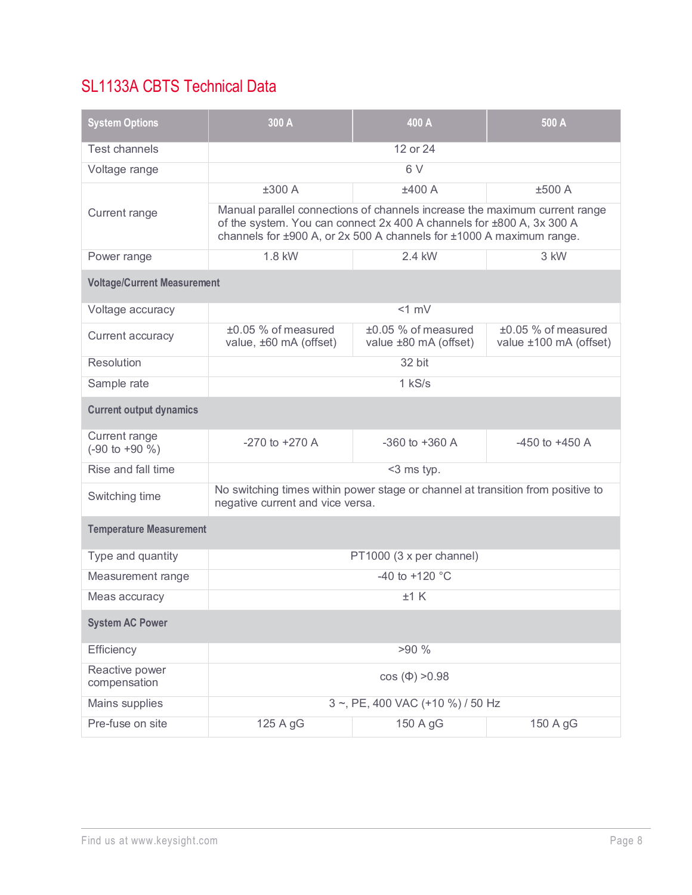# <span id="page-7-0"></span>SL1133A CBTS Technical Data

| <b>System Options</b>                       | 300 A                                                                                                                                                                                                                       | 400 A                                        | 500 A                                         |
|---------------------------------------------|-----------------------------------------------------------------------------------------------------------------------------------------------------------------------------------------------------------------------------|----------------------------------------------|-----------------------------------------------|
| <b>Test channels</b>                        | 12 or 24                                                                                                                                                                                                                    |                                              |                                               |
| Voltage range                               | 6V                                                                                                                                                                                                                          |                                              |                                               |
|                                             | ±300 A                                                                                                                                                                                                                      | ±400A                                        | ±500 A                                        |
| Current range                               | Manual parallel connections of channels increase the maximum current range<br>of the system. You can connect 2x 400 A channels for ±800 A, 3x 300 A<br>channels for ±900 A, or 2x 500 A channels for ±1000 A maximum range. |                                              |                                               |
| Power range                                 | 1.8 kW                                                                                                                                                                                                                      | 2.4 kW                                       | 3 kW                                          |
| <b>Voltage/Current Measurement</b>          |                                                                                                                                                                                                                             |                                              |                                               |
| Voltage accuracy                            |                                                                                                                                                                                                                             | $<1$ mV                                      |                                               |
| Current accuracy                            | ±0.05 % of measured<br>value, ±60 mA (offset)                                                                                                                                                                               | ±0.05 % of measured<br>value ±80 mA (offset) | ±0.05 % of measured<br>value ±100 mA (offset) |
| Resolution                                  | 32 bit                                                                                                                                                                                                                      |                                              |                                               |
| Sample rate                                 |                                                                                                                                                                                                                             | $1$ kS/s                                     |                                               |
| <b>Current output dynamics</b>              |                                                                                                                                                                                                                             |                                              |                                               |
| Current range<br>$(-90 \text{ to } +90 \%)$ | $-270$ to $+270$ A                                                                                                                                                                                                          | $-360$ to $+360$ A                           | $-450$ to $+450$ A                            |
| Rise and fall time                          | <3 ms typ.                                                                                                                                                                                                                  |                                              |                                               |
| Switching time                              | No switching times within power stage or channel at transition from positive to<br>negative current and vice versa.                                                                                                         |                                              |                                               |
| <b>Temperature Measurement</b>              |                                                                                                                                                                                                                             |                                              |                                               |
| Type and quantity                           | PT1000 (3 x per channel)                                                                                                                                                                                                    |                                              |                                               |
| Measurement range                           | -40 to +120 $^{\circ}$ C                                                                                                                                                                                                    |                                              |                                               |
| Meas accuracy                               |                                                                                                                                                                                                                             | $±1$ K                                       |                                               |
| <b>System AC Power</b>                      |                                                                                                                                                                                                                             |                                              |                                               |
| Efficiency                                  |                                                                                                                                                                                                                             | >90%                                         |                                               |
| Reactive power<br>compensation              |                                                                                                                                                                                                                             | $cos (\Phi) > 0.98$                          |                                               |
| Mains supplies                              | 3 ~, PE, 400 VAC (+10 %) / 50 Hz                                                                                                                                                                                            |                                              |                                               |
| Pre-fuse on site                            | 125 A gG                                                                                                                                                                                                                    | 150 A gG                                     | 150 A gG                                      |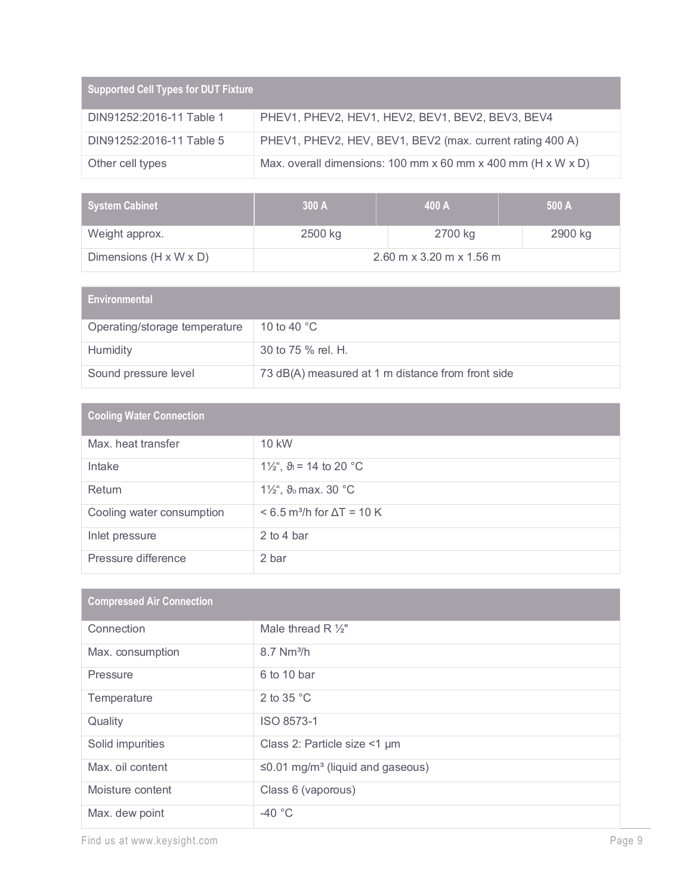| <b>Supported Cell Types for DUT Fixture</b> |                                                                            |
|---------------------------------------------|----------------------------------------------------------------------------|
| DIN91252:2016-11 Table 1                    | PHEV1, PHEV2, HEV1, HEV2, BEV1, BEV2, BEV3, BEV4                           |
| DIN91252:2016-11 Table 5                    | PHEV1, PHEV2, HEV, BEV1, BEV2 (max. current rating 400 A)                  |
| Other cell types                            | Max. overall dimensions: 100 mm x 60 mm x 400 mm ( $H \times W \times D$ ) |

| System Cabinet         | 300A    | 400 A                      | 500 A   |
|------------------------|---------|----------------------------|---------|
| Weight approx.         | 2500 kg | 2700 kg                    | 2900 kg |
| Dimensions (H x W x D) |         | $2.60$ m x 3.20 m x 1.56 m |         |

| <b>Environmental</b>          |                                                   |
|-------------------------------|---------------------------------------------------|
| Operating/storage temperature | 10 to 40 $^{\circ}$ C                             |
| Humidity                      | 30 to 75 % rel. H.                                |
| Sound pressure level          | 73 dB(A) measured at 1 m distance from front side |

| <b>Cooling Water Connection</b> |                                                 |  |
|---------------------------------|-------------------------------------------------|--|
| Max, heat transfer              | 10 kW                                           |  |
| Intake                          | 1\/ <sub>2</sub> ", $\vartheta_1 = 14$ to 20 °C |  |
| Return                          | 1 $\frac{1}{2}$ , $\vartheta_0$ max. 30 °C      |  |
| Cooling water consumption       | $< 6.5$ m <sup>3</sup> /h for $\Delta T = 10$ K |  |
| Inlet pressure                  | 2 to 4 bar                                      |  |
| Pressure difference             | 2 bar                                           |  |

| <b>Compressed Air Connection</b> |                                                    |  |
|----------------------------------|----------------------------------------------------|--|
| Connection                       | Male thread $R \frac{1}{2}$ "                      |  |
| Max. consumption                 | $8.7$ Nm <sup>3</sup> /h                           |  |
| Pressure                         | 6 to 10 bar                                        |  |
| Temperature                      | 2 to 35 $^{\circ}$ C                               |  |
| Quality                          | ISO 8573-1                                         |  |
| Solid impurities                 | Class 2: Particle size <1 µm                       |  |
| Max. oil content                 | $\leq$ 0.01 mg/m <sup>3</sup> (liquid and gaseous) |  |
| Moisture content                 | Class 6 (vaporous)                                 |  |
| Max. dew point                   | $-40$ °C                                           |  |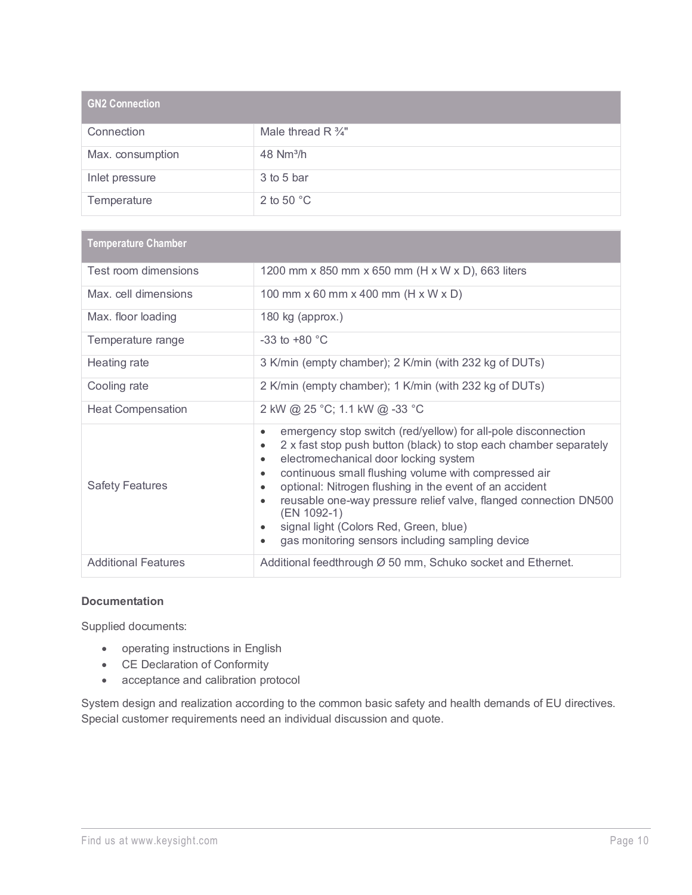| <b>GN2 Connection</b> |                               |
|-----------------------|-------------------------------|
| Connection            | Male thread $R \frac{3}{4}$ " |
| Max. consumption      | 48 Nm <sup>3</sup> /h         |
| Inlet pressure        | 3 to 5 bar                    |
| Temperature           | 2 to 50 $^{\circ}$ C          |

| <b>Temperature Chamber</b> |                                                                                                                                                                                                                                                                                                                                                                                                                                                                                                                                                               |
|----------------------------|---------------------------------------------------------------------------------------------------------------------------------------------------------------------------------------------------------------------------------------------------------------------------------------------------------------------------------------------------------------------------------------------------------------------------------------------------------------------------------------------------------------------------------------------------------------|
| Test room dimensions       | 1200 mm x 850 mm x 650 mm (H x W x D), 663 liters                                                                                                                                                                                                                                                                                                                                                                                                                                                                                                             |
| Max. cell dimensions       | 100 mm x 60 mm x 400 mm (H x W x D)                                                                                                                                                                                                                                                                                                                                                                                                                                                                                                                           |
| Max. floor loading         | 180 kg (approx.)                                                                                                                                                                                                                                                                                                                                                                                                                                                                                                                                              |
| Temperature range          | -33 to +80 $^{\circ}$ C                                                                                                                                                                                                                                                                                                                                                                                                                                                                                                                                       |
| Heating rate               | 3 K/min (empty chamber); 2 K/min (with 232 kg of DUTs)                                                                                                                                                                                                                                                                                                                                                                                                                                                                                                        |
| Cooling rate               | 2 K/min (empty chamber); 1 K/min (with 232 kg of DUTs)                                                                                                                                                                                                                                                                                                                                                                                                                                                                                                        |
| <b>Heat Compensation</b>   | 2 kW @ 25 °C; 1.1 kW @ -33 °C                                                                                                                                                                                                                                                                                                                                                                                                                                                                                                                                 |
| <b>Safety Features</b>     | emergency stop switch (red/yellow) for all-pole disconnection<br>$\bullet$<br>2 x fast stop push button (black) to stop each chamber separately<br>$\bullet$<br>electromechanical door locking system<br>$\bullet$<br>continuous small flushing volume with compressed air<br>$\bullet$<br>optional: Nitrogen flushing in the event of an accident<br>$\bullet$<br>reusable one-way pressure relief valve, flanged connection DN500<br>$\bullet$<br>(EN 1092-1)<br>signal light (Colors Red, Green, blue)<br>gas monitoring sensors including sampling device |
| <b>Additional Features</b> | Additional feedthrough Ø 50 mm, Schuko socket and Ethernet.                                                                                                                                                                                                                                                                                                                                                                                                                                                                                                   |

#### **Documentation**

Supplied documents:

- operating instructions in English
- CE Declaration of Conformity
- acceptance and calibration protocol

System design and realization according to the common basic safety and health demands of EU directives. Special customer requirements need an individual discussion and quote.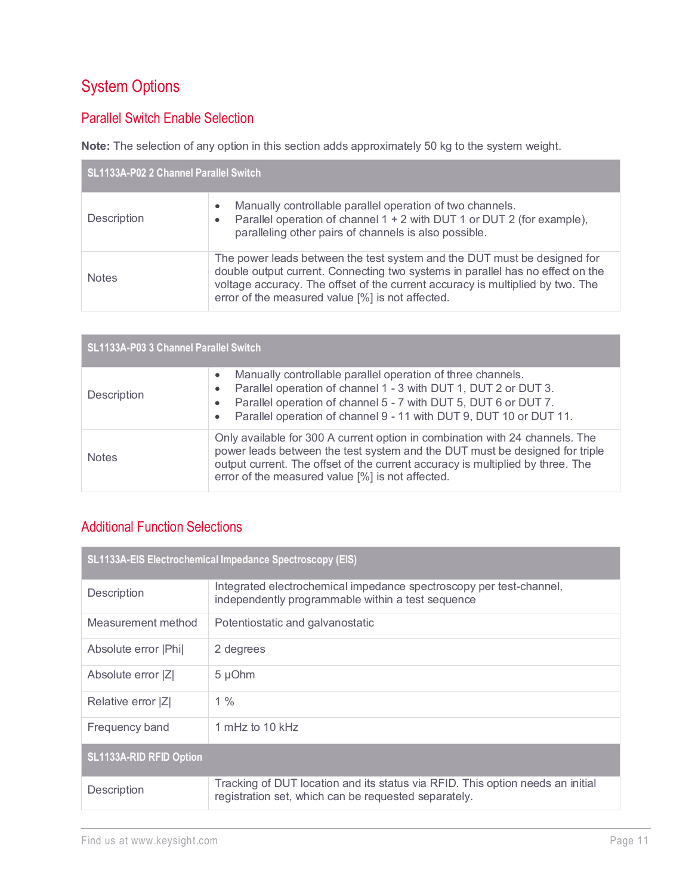# <span id="page-10-0"></span>System Options

### <span id="page-10-1"></span>Parallel Switch Enable Selection

**Note:** The selection of any option in this section adds approximately 50 kg to the system weight.

| SL1133A-P02 2 Channel Parallel Switch |                                                                                                                                                                                                                                                                                                  |  |
|---------------------------------------|--------------------------------------------------------------------------------------------------------------------------------------------------------------------------------------------------------------------------------------------------------------------------------------------------|--|
| Description                           | Manually controllable parallel operation of two channels.<br>Parallel operation of channel 1 + 2 with DUT 1 or DUT 2 (for example),<br>paralleling other pairs of channels is also possible.                                                                                                     |  |
| <b>Notes</b>                          | The power leads between the test system and the DUT must be designed for<br>double output current. Connecting two systems in parallel has no effect on the<br>voltage accuracy. The offset of the current accuracy is multiplied by two. The<br>error of the measured value [%] is not affected. |  |

| SL1133A-P03 3 Channel Parallel Switch |                                                                                                                                                                                                                                                                                                   |  |
|---------------------------------------|---------------------------------------------------------------------------------------------------------------------------------------------------------------------------------------------------------------------------------------------------------------------------------------------------|--|
| <b>Description</b>                    | Manually controllable parallel operation of three channels.<br>Parallel operation of channel 1 - 3 with DUT 1, DUT 2 or DUT 3.<br>Parallel operation of channel 5 - 7 with DUT 5, DUT 6 or DUT 7.<br>Parallel operation of channel 9 - 11 with DUT 9, DUT 10 or DUT 11.                           |  |
| <b>Notes</b>                          | Only available for 300 A current option in combination with 24 channels. The<br>power leads between the test system and the DUT must be designed for triple<br>output current. The offset of the current accuracy is multiplied by three. The<br>error of the measured value [%] is not affected. |  |

### <span id="page-10-2"></span>Additional Function Selections

| SL1133A-EIS Electrochemical Impedance Spectroscopy (EIS) |                                                                                                                                        |
|----------------------------------------------------------|----------------------------------------------------------------------------------------------------------------------------------------|
| Description                                              | Integrated electrochemical impedance spectroscopy per test-channel,<br>independently programmable within a test sequence               |
| Measurement method                                       | Potentiostatic and galvanostatic                                                                                                       |
| Absolute error  Phi                                      | 2 degrees                                                                                                                              |
| Absolute error  Z                                        | 5 µOhm                                                                                                                                 |
| Relative error [Z]                                       | $1\%$                                                                                                                                  |
| Frequency band                                           | 1 mHz to 10 $kHz$                                                                                                                      |
| <b>SL1133A-RID RFID Option</b>                           |                                                                                                                                        |
| <b>Description</b>                                       | Tracking of DUT location and its status via RFID. This option needs an initial<br>registration set, which can be requested separately. |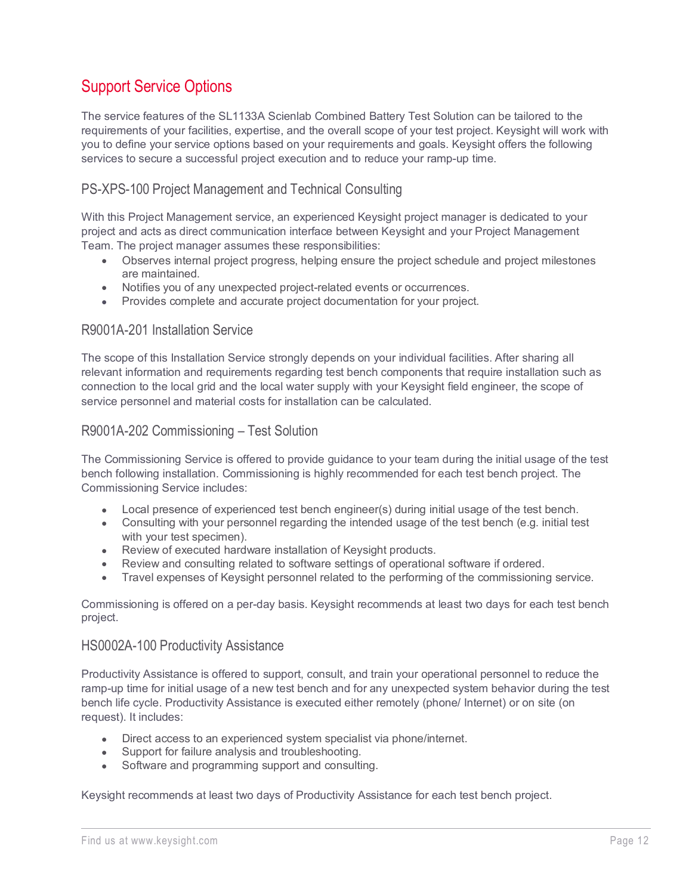# <span id="page-11-0"></span>Support Service Options

The service features of the SL1133A Scienlab Combined Battery Test Solution can be tailored to the requirements of your facilities, expertise, and the overall scope of your test project. Keysight will work with you to define your service options based on your requirements and goals. Keysight offers the following services to secure a successful project execution and to reduce your ramp-up time.

### <span id="page-11-1"></span>PS-XPS-100 Project Management and Technical Consulting

With this Project Management service, an experienced Keysight project manager is dedicated to your project and acts as direct communication interface between Keysight and your Project Management Team. The project manager assumes these responsibilities:

- Observes internal project progress, helping ensure the project schedule and project milestones are maintained.
- Notifies you of any unexpected project-related events or occurrences.
- Provides complete and accurate project documentation for your project.

#### <span id="page-11-2"></span>R9001A-201 Installation Service

The scope of this Installation Service strongly depends on your individual facilities. After sharing all relevant information and requirements regarding test bench components that require installation such as connection to the local grid and the local water supply with your Keysight field engineer, the scope of service personnel and material costs for installation can be calculated.

#### <span id="page-11-3"></span>R9001A-202 Commissioning – Test Solution

The Commissioning Service is offered to provide guidance to your team during the initial usage of the test bench following installation. Commissioning is highly recommended for each test bench project. The Commissioning Service includes:

- Local presence of experienced test bench engineer(s) during initial usage of the test bench.
- Consulting with your personnel regarding the intended usage of the test bench (e.g. initial test with your test specimen).
- Review of executed hardware installation of Keysight products.
- Review and consulting related to software settings of operational software if ordered.
- Travel expenses of Keysight personnel related to the performing of the commissioning service.

Commissioning is offered on a per-day basis. Keysight recommends at least two days for each test bench project.

#### <span id="page-11-4"></span>HS0002A-100 Productivity Assistance

Productivity Assistance is offered to support, consult, and train your operational personnel to reduce the ramp-up time for initial usage of a new test bench and for any unexpected system behavior during the test bench life cycle. Productivity Assistance is executed either remotely (phone/ Internet) or on site (on request). It includes:

- Direct access to an experienced system specialist via phone/internet.
- Support for failure analysis and troubleshooting.
- Software and programming support and consulting.

Keysight recommends at least two days of Productivity Assistance for each test bench project.